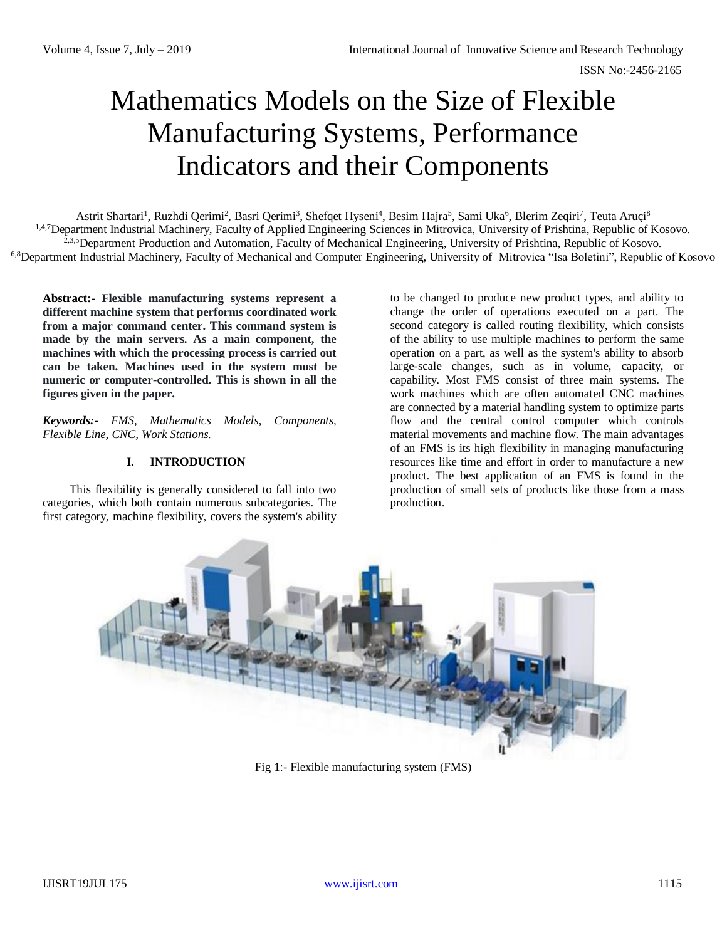# Mathematics Models on the Size of Flexible Manufacturing Systems, Performance Indicators and their Components

Astrit Shartari<sup>1</sup>, Ruzhdi Qerimi<sup>2</sup>, Basri Qerimi<sup>3</sup>, Shefqet Hyseni<sup>4</sup>, Besim Hajra<sup>5</sup>, Sami Uka<sup>6</sup>, Blerim Zeqiri<sup>7</sup>, Teuta Aruçi<sup>8</sup> <sup>1,4,7</sup>Department Industrial Machinery, Faculty of Applied Engineering Sciences in Mitrovica, University of Prishtina, Republic of Kosovo. <sup>2,3,5</sup>Department Production and Automation, Faculty of Mechanical Engineering, University of Prishtina, Republic of Kosovo. 6,8Department Industrial Machinery, Faculty of Mechanical and Computer Engineering, University of Mitrovica "Isa Boletini", Republic of Kosovo

**Abstract:- Flexible manufacturing systems represent a different machine system that performs coordinated work from a major command center. This command system is made by the main servers. As a main component, the machines with which the processing process is carried out can be taken. Machines used in the system must be numeric or computer-controlled. This is shown in all the figures given in the paper.**

*Keywords:- FMS, Mathematics Models, Components, Flexible Line, CNC, Work Stations.*

## **I. INTRODUCTION**

This flexibility is generally considered to fall into two categories, which both contain numerous subcategories. The first category, machine flexibility, covers the system's ability to be changed to produce new product types, and ability to change the order of operations executed on a part. The second category is called routing flexibility, which consists of the ability to use multiple [machines](https://en.wikipedia.org/wiki/Machine) to perform the same operation on a part, as well as the system's ability to absorb large-scale changes, such as in volume, capacity, or capability. Most FMS consist of three main systems. The work machines which are often automated CNC machines are connected by [a material handling](https://en.wikipedia.org/wiki/Material_handling) system to optimize parts flow and the central control computer which controls material movements and machine flow. The main advantages of an FMS is its high flexibility in managing manufacturing resources like time and effort in order to manufacture a new product. The best application of an FMS is found in the production of small sets of products like those from a [mass](https://en.wikipedia.org/wiki/Mass_production)  [production.](https://en.wikipedia.org/wiki/Mass_production)



Fig 1:- Flexible manufacturing system (FMS)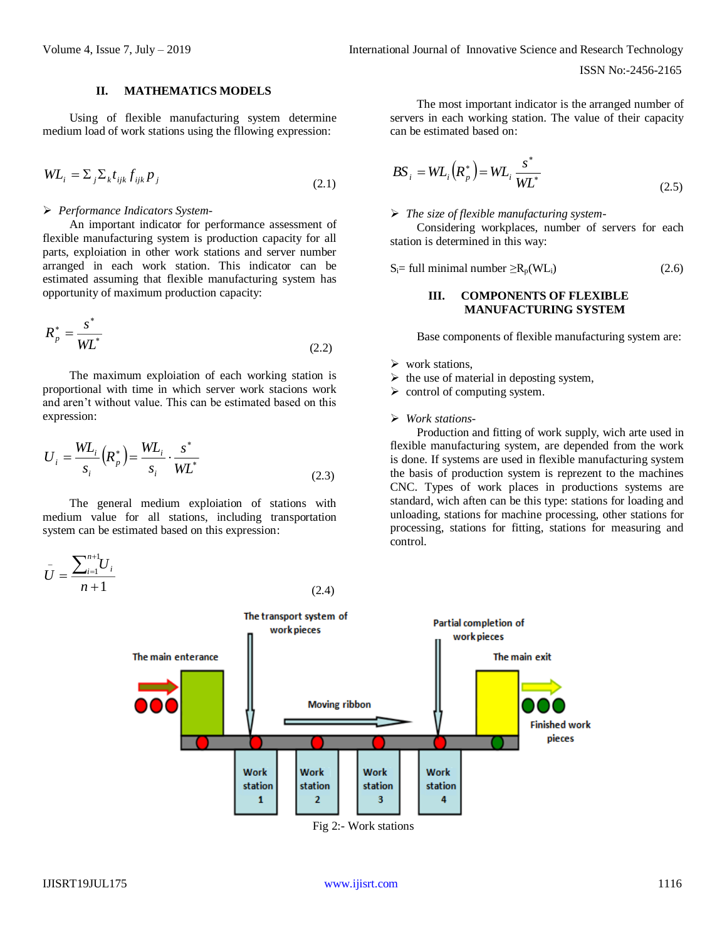## **II. MATHEMATICS MODELS**

Using of flexible manufacturing system determine medium load of work stations using the fllowing expression:

$$
WL_i = \sum_j \sum_k t_{ijk} f_{ijk} p_j
$$
\n(2.1)

## *Performance Indicators System*-

An important indicator for performance assessment of flexible manufacturing system is production capacity for all parts, exploiation in other work stations and server number arranged in each work station. This indicator can be estimated assuming that flexible manufacturing system has opportunity of maximum production capacity:

$$
R_p^* = \frac{s^*}{W L^*}
$$
\n
$$
(2.2)
$$

The maximum exploiation of each working station is proportional with time in which server work stacions work and aren't without value. This can be estimated based on this expression:

$$
U_i = \frac{WL_i}{s_i} (R_p^*) = \frac{WL_i}{s_i} \cdot \frac{s^*}{WL^*}
$$
\n(2.3)

The general medium exploiation of stations with medium value for all stations, including transportation system can be estimated based on this expression:



The most important indicator is the arranged number of servers in each working station. The value of their capacity can be estimated based on:

$$
BS_i = WL_i\left(R_p^*\right) = WL_i\frac{s^*}{WL^*}
$$
\n(2.5)

## *The size of flexible manufacturing system*-

Considering workplaces, number of servers for each station is determined in this way:

$$
S_i = full minimal number \ge R_p(WL_i)
$$
 (2.6)

## **III. COMPONENTS OF FLEXIBLE MANUFACTURING SYSTEM**

Base components of flexible manufacturing system are:

- $\triangleright$  work stations,
- $\triangleright$  the use of material in deposting system,
- $\triangleright$  control of computing system.
- *Work stations-*

Production and fitting of work supply, wich arte used in flexible manufacturing system, are depended from the work is done. If systems are used in flexible manufacturing system the basis of production system is reprezent to the machines CNC. Types of work places in productions systems are standard, wich aften can be this type: stations for loading and unloading, stations for machine processing, other stations for processing, stations for fitting, stations for measuring and control.



(2.4)

Fig 2:- Work stations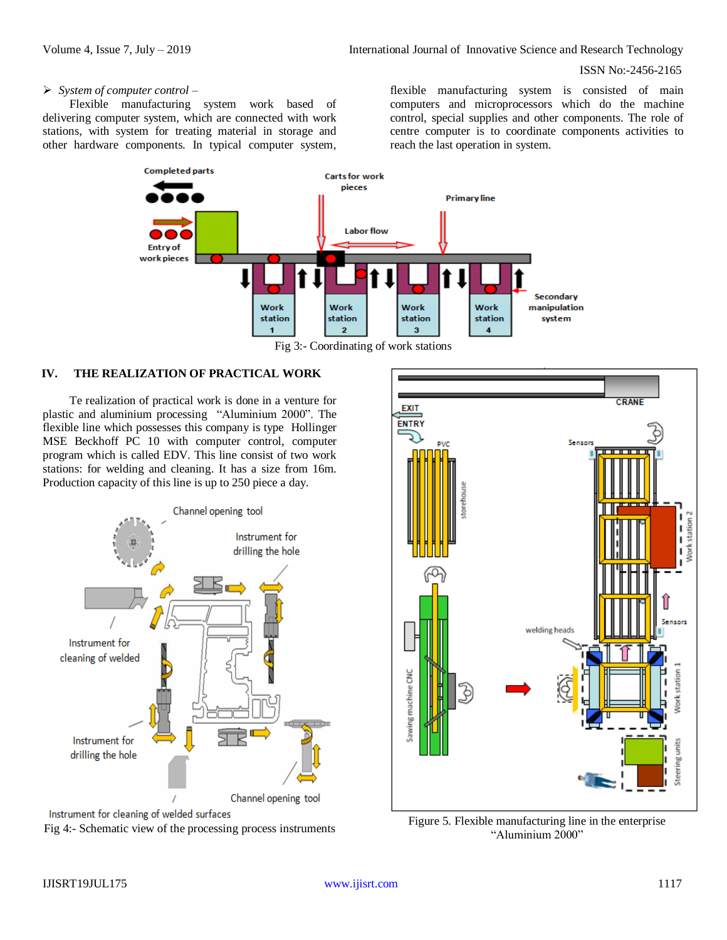#### ISSN No:-2456-2165

# *System of computer control* –

Flexible manufacturing system work based of delivering computer system, which are connected with work stations, with system for treating material in storage and other hardware components. In typical computer system,

flexible manufacturing system is consisted of main computers and microprocessors which do the machine control, special supplies and other components. The role of centre computer is to coordinate components activities to reach the last operation in system.



Fig 3:- Coordinating of work stations

## **IV. THE REALIZATION OF PRACTICAL WORK**

Te realization of practical work is done in a venture for plastic and aluminium processing "Aluminium 2000". The flexible line which possesses this company is type Hollinger MSE Beckhoff PC 10 with computer control, computer program which is called EDV. This line consist of two work stations: for welding and cleaning. It has a size from 16m. Production capacity of this line is up to 250 piece a day.







"Aluminium 2000"